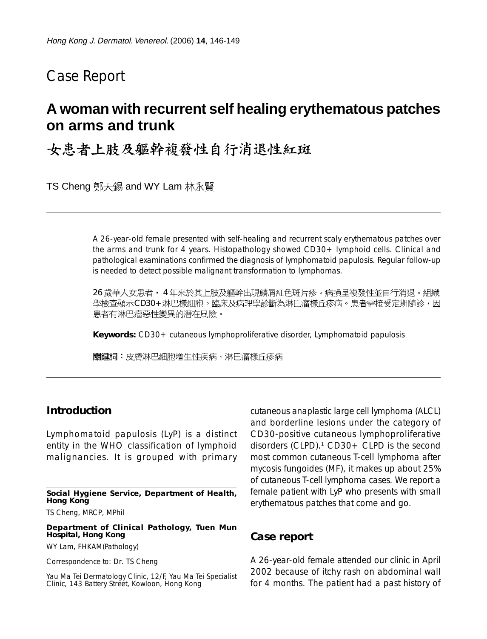# Case Report

## **A woman with recurrent self healing erythematous patches on arms and trunk**

### 女患者上肢及軀幹複發性自行消退性紅斑

TS Cheng 鄭天錫 and WY Lam 林永賢

A 26-year-old female presented with self-healing and recurrent scaly erythematous patches over the arms and trunk for 4 years. Histopathology showed CD30+ lymphoid cells. Clinical and pathological examinations confirmed the diagnosis of lymphomatoid papulosis. Regular follow-up is needed to detect possible malignant transformation to lymphomas.

26 歲華人女患者, 4 年來於其上肢及軀幹出現鱗屑紅色斑片疹。病損呈複發性並自行消退。組織 學檢查顯示CD30+淋巴樣細胞。臨床及病理學診斷為淋巴瘤樣丘疹病。患者需接受定期隨診,因 患者有淋巴瘤惡性變異的潛在風險。

**Keywords:** CD30+ cutaneous lymphoproliferative disorder, Lymphomatoid papulosis

關鍵詞:皮膚淋巴細胞增生性疾病、淋巴瘤樣丘疹病

#### **Introduction**

Lymphomatoid papulosis (LyP) is a distinct entity in the WHO classification of lymphoid malignancies. It is grouped with primary

**Social Hygiene Service, Department of Health, Hong Kong**

TS Cheng, MRCP, MPhil

**Department of Clinical Pathology, Tuen Mun Hospital, Hong Kong**

WY Lam, FHKAM(Pathology)

Correspondence to: Dr. TS Cheng

Yau Ma Tei Dermatology Clinic, 12/F, Yau Ma Tei Specialist Clinic, 143 Battery Street, Kowloon, Hong Kong

cutaneous anaplastic large cell lymphoma (ALCL) and borderline lesions under the category of CD30-positive cutaneous lymphoproliferative disorders (CLPD).<sup>1</sup> CD30 + CLPD is the second most common cutaneous T-cell lymphoma after mycosis fungoides (MF), it makes up about 25% of cutaneous T-cell lymphoma cases. We report a female patient with LyP who presents with small erythematous patches that come and go.

#### **Case report**

A 26-year-old female attended our clinic in April 2002 because of itchy rash on abdominal wall for 4 months. The patient had a past history of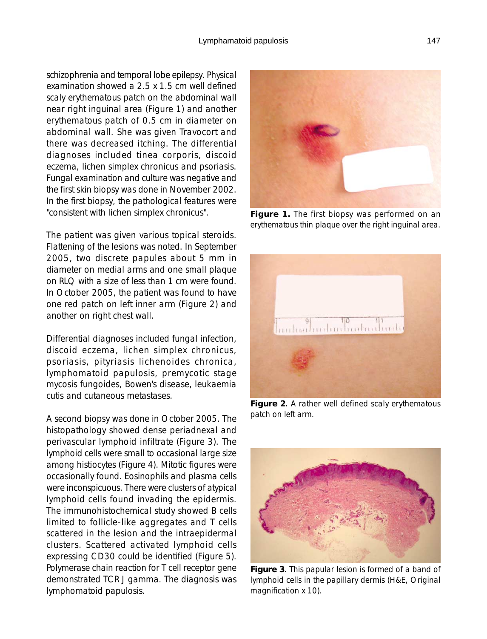schizophrenia and temporal lobe epilepsy. Physical examination showed a 2.5 x 1.5 cm well defined scaly erythematous patch on the abdominal wall near right inguinal area (Figure 1) and another erythematous patch of 0.5 cm in diameter on abdominal wall. She was given Travocort and there was decreased itching. The differential diagnoses included tinea corporis, discoid eczema, lichen simplex chronicus and psoriasis. Fungal examination and culture was negative and the first skin biopsy was done in November 2002. In the first biopsy, the pathological features were "consistent with lichen simplex chronicus".

The patient was given various topical steroids. Flattening of the lesions was noted. In September 2005, two discrete papules about 5 mm in diameter on medial arms and one small plaque on RLQ with a size of less than 1 cm were found. In October 2005, the patient was found to have one red patch on left inner arm (Figure 2) and another on right chest wall.

Differential diagnoses included fungal infection, discoid eczema, lichen simplex chronicus, psoriasis, pityriasis lichenoides chronica, lymphomatoid papulosis, premycotic stage mycosis fungoides, Bowen's disease, leukaemia cutis and cutaneous metastases.

A second biopsy was done in October 2005. The histopathology showed dense periadnexal and perivascular lymphoid infiltrate (Figure 3). The lymphoid cells were small to occasional large size among histiocytes (Figure 4). Mitotic figures were occasionally found. Eosinophils and plasma cells were inconspicuous. There were clusters of atypical lymphoid cells found invading the epidermis. The immunohistochemical study showed B cells limited to follicle-like aggregates and T cells scattered in the lesion and the intraepidermal clusters. Scattered activated lymphoid cells expressing CD30 could be identified (Figure 5). Polymerase chain reaction for T cell receptor gene demonstrated TCR J gamma. The diagnosis was lymphomatoid papulosis.



**Figure 1.** The first biopsy was performed on an erythematous thin plaque over the right inguinal area.



Figure 2. A rather well defined scaly erythematous patch on left arm.



**Figure 3**. This papular lesion is formed of a band of . lymphoid cells in the papillary dermis (H&E, Original magnification x 10).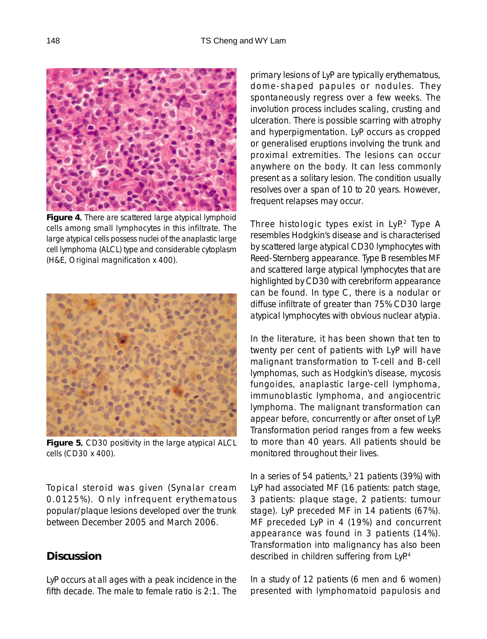

**Figure 4**. There are scattered large atypical lymphoid . cells among small lymphocytes in this infiltrate. The large atypical cells possess nuclei of the anaplastic large cell lymphoma (ALCL) type and considerable cytoplasm (H&E, Original magnification x 400).



**Figure 5**. CD30 positivity in the large atypical ALCL cells (CD30 x 400).

Topical steroid was given (Synalar cream 0.0125%). Only infrequent erythematous popular/plaque lesions developed over the trunk between December 2005 and March 2006.

#### **Discussion**

LyP occurs at all ages with a peak incidence in the fifth decade. The male to female ratio is 2:1. The

primary lesions of LyP are typically erythematous, dome-shaped papules or nodules. They spontaneously regress over a few weeks. The involution process includes scaling, crusting and ulceration. There is possible scarring with atrophy and hyperpigmentation. LyP occurs as cropped or generalised eruptions involving the trunk and proximal extremities. The lesions can occur anywhere on the body. It can less commonly present as a solitary lesion. The condition usually resolves over a span of 10 to 20 years. However, frequent relapses may occur.

Three histologic types exist in LyP.<sup>2</sup> Type A resembles Hodgkin's disease and is characterised by scattered large atypical CD30 lymphocytes with Reed-Sternberg appearance. Type B resembles MF and scattered large atypical lymphocytes that are highlighted by CD30 with cerebriform appearance can be found. In type C, there is a nodular or diffuse infiltrate of greater than 75% CD30 large atypical lymphocytes with obvious nuclear atypia.

In the literature, it has been shown that ten to twenty per cent of patients with LyP will have malignant transformation to T-cell and B-cell lymphomas, such as Hodgkin's disease, mycosis fungoides, anaplastic large-cell lymphoma, immunoblastic lymphoma, and angiocentric lymphoma. The malignant transformation can appear before, concurrently or after onset of LyP. Transformation period ranges from a few weeks to more than 40 years. All patients should be monitored throughout their lives.

In a series of 54 patients, $3$  21 patients (39%) with LyP had associated MF (16 patients: patch stage, 3 patients: plaque stage, 2 patients: tumour stage). LyP preceded MF in 14 patients (67%). MF preceded LyP in 4 (19%) and concurrent appearance was found in 3 patients (14%). Transformation into malignancy has also been described in children suffering from LyP.<sup>4</sup>

In a study of 12 patients (6 men and 6 women) presented with lymphomatoid papulosis and